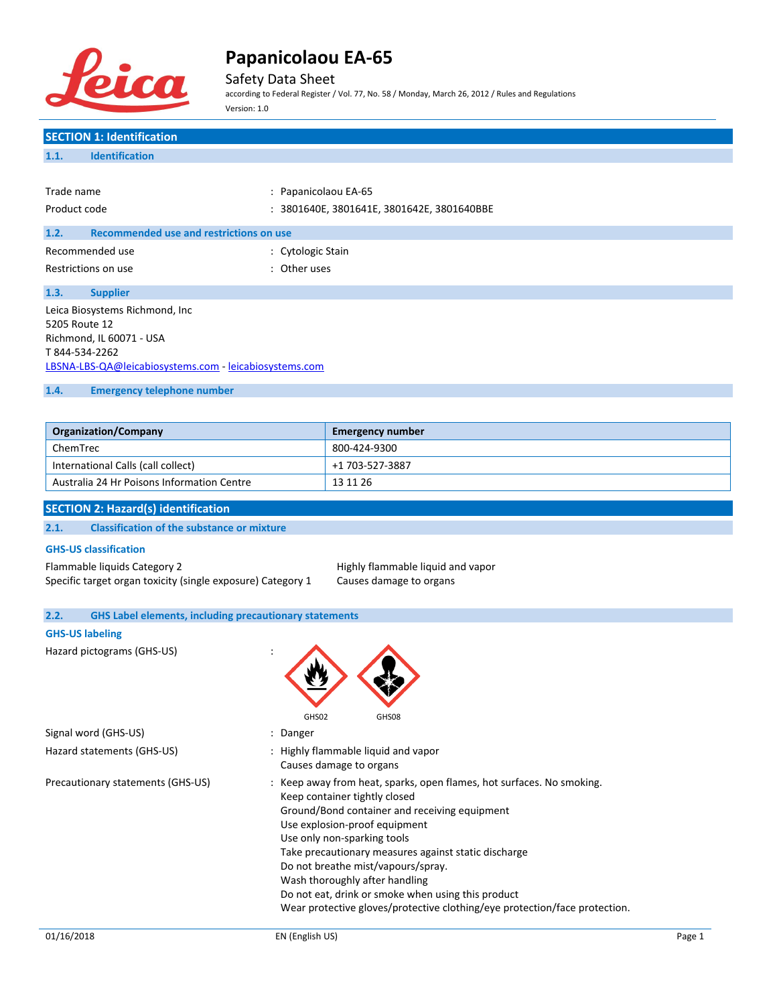

Safety Data Sheet

according to Federal Register / Vol. 77, No. 58 / Monday, March 26, 2012 / Rules and Regulations Version: 1.0

# **SECTION 1: Identification 1.1. Identification** Trade name : Papanicolaou EA-65 Product code : 3801640E, 3801641E, 3801642E, 3801640BBE **1.2. Recommended use and restrictions on use** Recommended use in the settlement of the Cytologic Stain Restrictions on use the set of the set of the set of the set of the set of the set of the set of the set of the set of the set of the set of the set of the set of the set of the set of the set of the set of the set of the **1.3. Supplier** Leica Biosystems Richmond, Inc 5205 Route 12 Richmond, IL 60071 - USA T 844-534-2262 [LBSNA-LBS-QA@leicabiosystems.com](mailto:LBSNA-LBS-QA@leicabiosystems.com) - <leicabiosystems.com> **1.4. Emergency telephone number Organization/Company Emergency number** ChemTrec 800-424-9300 International Calls (call collect) +1 703-527-3887 Australia 24 Hr Poisons Information Centre 13 11 26 **SECTION 2: Hazard(s) identification 2.1. Classification of the substance or mixture GHS-US classification** Flammable liquids Category 2 **highly flammable liquid and vapor** Specific target organ toxicity (single exposure) Category 1 Causes damage to organs **2.2. GHS Label elements, including precautionary statements GHS-US labeling** Hazard pictograms (GHS-US) : GHS02 GHS08 Signal word (GHS-US) **Signal word** (GHS-US) **1988** Hazard statements (GHS-US) : Highly flammable liquid and vapor Causes damage to organs Precautionary statements (GHS-US) : Keep away from heat, sparks, open flames, hot surfaces. No smoking.

Keep container tightly closed

Use explosion-proof equipment Use only non-sparking tools

Do not breathe mist/vapours/spray. Wash thoroughly after handling

Ground/Bond container and receiving equipment

Take precautionary measures against static discharge

Do not eat, drink or smoke when using this product

Wear protective gloves/protective clothing/eye protection/face protection.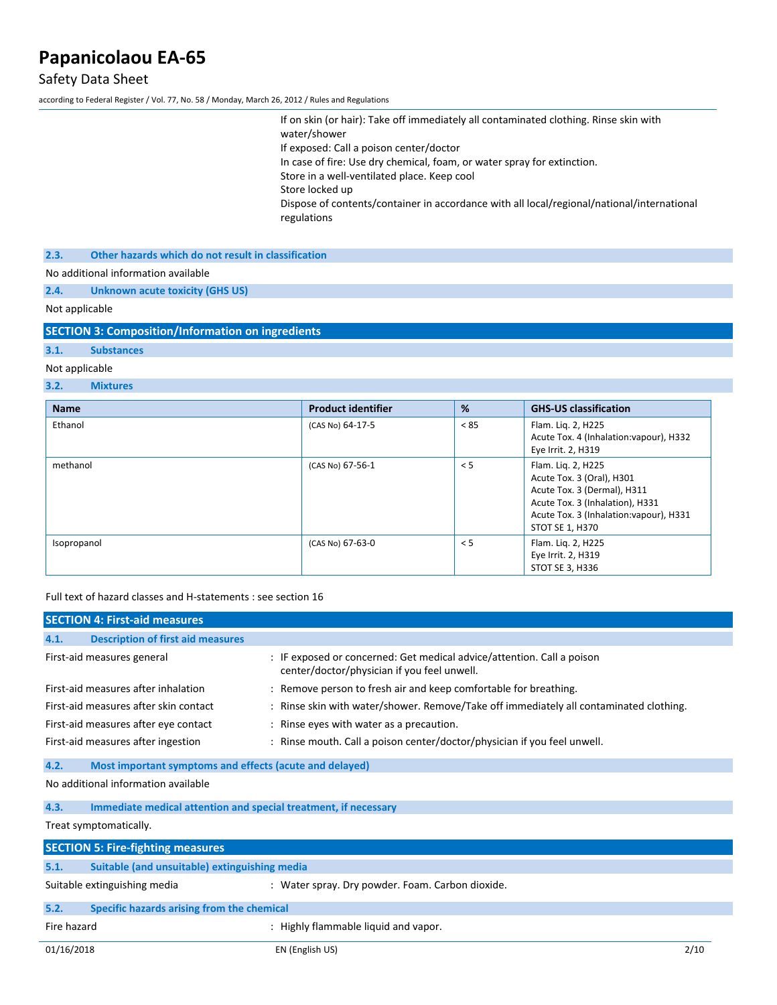# Safety Data Sheet

according to Federal Register / Vol. 77, No. 58 / Monday, March 26, 2012 / Rules and Regulations

| If on skin (or hair): Take off immediately all contaminated clothing. Rinse skin with<br>water/shower     |
|-----------------------------------------------------------------------------------------------------------|
| If exposed: Call a poison center/doctor                                                                   |
| In case of fire: Use dry chemical, foam, or water spray for extinction.                                   |
| Store in a well-ventilated place. Keep cool                                                               |
| Store locked up                                                                                           |
| Dispose of contents/container in accordance with all local/regional/national/international<br>regulations |
|                                                                                                           |

**2.3. Other hazards which do not result in classification**

No additional information available

**2.4. Unknown acute toxicity (GHS US)**

Not applicable

**SECTION 3: Composition/Information on ingredients**

## **3.1. Substances**

#### Not applicable

#### **3.2. Mixtures**

| <b>Name</b> | <b>Product identifier</b> | %    | <b>GHS-US classification</b>                                                                                                                                                    |
|-------------|---------------------------|------|---------------------------------------------------------------------------------------------------------------------------------------------------------------------------------|
| Ethanol     | (CAS No) 64-17-5          | < 85 | Flam. Liq. 2, H225<br>Acute Tox. 4 (Inhalation: vapour), H332<br>Eye Irrit. 2, H319                                                                                             |
| methanol    | (CAS No) 67-56-1          | < 5  | Flam. Liq. 2, H225<br>Acute Tox. 3 (Oral), H301<br>Acute Tox. 3 (Dermal), H311<br>Acute Tox. 3 (Inhalation), H331<br>Acute Tox. 3 (Inhalation: vapour), H331<br>STOT SE 1, H370 |
| Isopropanol | (CAS No) 67-63-0          | < 5  | Flam. Liq. 2, H225<br>Eye Irrit. 2, H319<br>STOT SE 3, H336                                                                                                                     |

Full text of hazard classes and H-statements : see section 16

|                                                                         | <b>SECTION 4: First-aid measures</b>                    |                                                                                                                       |
|-------------------------------------------------------------------------|---------------------------------------------------------|-----------------------------------------------------------------------------------------------------------------------|
| 4.1.                                                                    | <b>Description of first aid measures</b>                |                                                                                                                       |
|                                                                         | First-aid measures general                              | : IF exposed or concerned: Get medical advice/attention. Call a poison<br>center/doctor/physician if you feel unwell. |
|                                                                         | First-aid measures after inhalation                     | : Remove person to fresh air and keep comfortable for breathing.                                                      |
|                                                                         | First-aid measures after skin contact                   | : Rinse skin with water/shower. Remove/Take off immediately all contaminated clothing.                                |
|                                                                         | First-aid measures after eye contact                    | : Rinse eyes with water as a precaution.                                                                              |
|                                                                         | First-aid measures after ingestion                      | : Rinse mouth. Call a poison center/doctor/physician if you feel unwell.                                              |
| 4.2.                                                                    | Most important symptoms and effects (acute and delayed) |                                                                                                                       |
|                                                                         | No additional information available                     |                                                                                                                       |
| Immediate medical attention and special treatment, if necessary<br>4.3. |                                                         |                                                                                                                       |
|                                                                         | Treat symptomatically.                                  |                                                                                                                       |
|                                                                         | <b>SECTION 5: Fire-fighting measures</b>                |                                                                                                                       |
| 5.1.                                                                    | Suitable (and unsuitable) extinguishing media           |                                                                                                                       |
|                                                                         | Suitable extinguishing media                            | : Water spray. Dry powder. Foam. Carbon dioxide.                                                                      |
| 5.2.                                                                    | Specific hazards arising from the chemical              |                                                                                                                       |
| Fire hazard                                                             |                                                         | : Highly flammable liquid and vapor.                                                                                  |
| 01/16/2018                                                              |                                                         | 2/10<br>EN (English US)                                                                                               |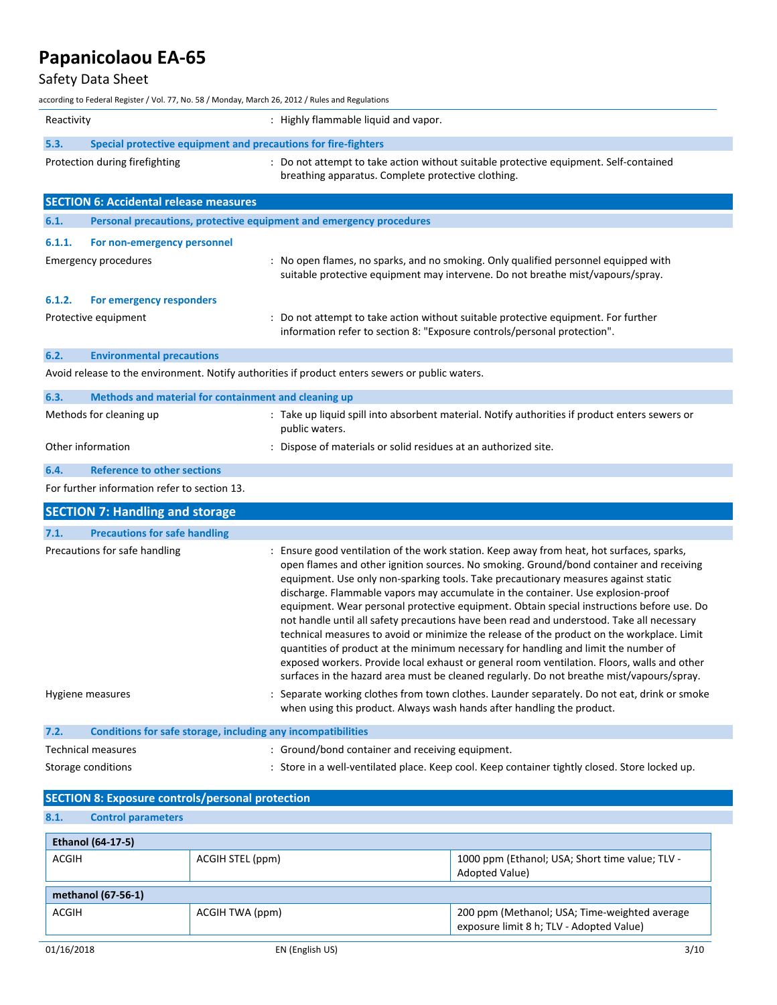### Safety Data Sheet

according to Federal Register / Vol. 77, No. 58 / Monday, March 26, 2012 / Rules and Regulations Reactivity **Example 20** and  $\mathbf{H}$  is Highly flammable liquid and vapor. **5.3. Special protective equipment and precautions for fire-fighters** Protection during firefighting : Do not attempt to take action without suitable protective equipment. Self-contained breathing apparatus. Complete protective clothing. **SECTION 6: Accidental release measures 6.1. Personal precautions, protective equipment and emergency procedures 6.1.1. For non-emergency personnel** Emergency procedures : No open flames, no sparks, and no smoking. Only qualified personnel equipped with suitable protective equipment may intervene. Do not breathe mist/vapours/spray. **6.1.2. For emergency responders** Protective equipment **interprotective equipment** in the statempt to take action without suitable protective equipment. For further information refer to section 8: "Exposure controls/personal protection". **6.2. Environmental precautions** Avoid release to the environment. Notify authorities if product enters sewers or public waters. **6.3. Methods and material for containment and cleaning up** Methods for cleaning up : Take up liquid spill into absorbent material. Notify authorities if product enters sewers or public waters. Other information : Dispose of materials or solid residues at an authorized site. **6.4. Reference to other sections** For further information refer to section 13. **SECTION 7: Handling and storage 7.1. Precautions for safe handling** Precautions for safe handling : Ensure good ventilation of the work station. Keep away from heat, hot surfaces, sparks, open flames and other ignition sources. No smoking. Ground/bond container and receiving equipment. Use only non-sparking tools. Take precautionary measures against static discharge. Flammable vapors may accumulate in the container. Use explosion-proof equipment. Wear personal protective equipment. Obtain special instructions before use. Do not handle until all safety precautions have been read and understood. Take all necessary technical measures to avoid or minimize the release of the product on the workplace. Limit quantities of product at the minimum necessary for handling and limit the number of exposed workers. Provide local exhaust or general room ventilation. Floors, walls and other surfaces in the hazard area must be cleaned regularly. Do not breathe mist/vapours/spray. Hygiene measures : Separate working clothes from town clothes. Launder separately. Do not eat, drink or smoke when using this product. Always wash hands after handling the product. **7.2. Conditions for safe storage, including any incompatibilities** Technical measures : Ground/bond container and receiving equipment. Storage conditions **in the state of the state of the state of the store** of the store in a well-ventilated place. Keep cool. Keep container tightly closed. Store locked up.

| <b>SECTION 8: Exposure controls/personal protection</b> |                  |                                                                                           |  |
|---------------------------------------------------------|------------------|-------------------------------------------------------------------------------------------|--|
| 8.1.<br><b>Control parameters</b>                       |                  |                                                                                           |  |
| <b>Ethanol (64-17-5)</b>                                |                  |                                                                                           |  |
| <b>ACGIH</b>                                            | ACGIH STEL (ppm) | 1000 ppm (Ethanol; USA; Short time value; TLV -<br>Adopted Value)                         |  |
| methanol (67-56-1)                                      |                  |                                                                                           |  |
| <b>ACGIH</b>                                            | ACGIH TWA (ppm)  | 200 ppm (Methanol; USA; Time-weighted average<br>exposure limit 8 h; TLV - Adopted Value) |  |
| 01/16/2018                                              | EN (English US)  | 3/10                                                                                      |  |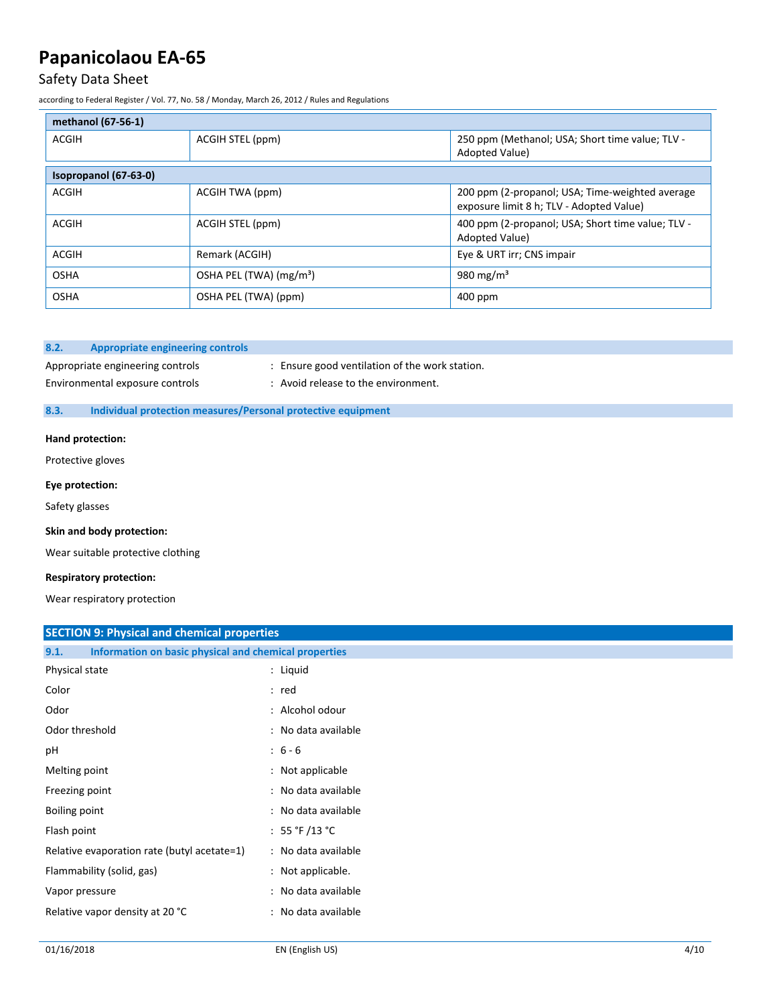## Safety Data Sheet

according to Federal Register / Vol. 77, No. 58 / Monday, March 26, 2012 / Rules and Regulations

| methanol (67-56-1)    |                                     |                                                                                             |  |
|-----------------------|-------------------------------------|---------------------------------------------------------------------------------------------|--|
| <b>ACGIH</b>          | ACGIH STEL (ppm)                    | 250 ppm (Methanol; USA; Short time value; TLV -<br>Adopted Value)                           |  |
| Isopropanol (67-63-0) |                                     |                                                                                             |  |
| <b>ACGIH</b>          | ACGIH TWA (ppm)                     | 200 ppm (2-propanol; USA; Time-weighted average<br>exposure limit 8 h; TLV - Adopted Value) |  |
| <b>ACGIH</b>          | ACGIH STEL (ppm)                    | 400 ppm (2-propanol; USA; Short time value; TLV -<br>Adopted Value)                         |  |
| <b>ACGIH</b>          | Remark (ACGIH)                      | Eye & URT irr; CNS impair                                                                   |  |
| <b>OSHA</b>           | OSHA PEL (TWA) (mg/m <sup>3</sup> ) | 980 mg/m <sup>3</sup>                                                                       |  |
| <b>OSHA</b>           | OSHA PEL (TWA) (ppm)                | 400 ppm                                                                                     |  |

#### **8.2. Appropriate engineering controls**

Appropriate engineering controls : Ensure good ventilation of the work station.

# Environmental exposure controls : Avoid release to the environment.

#### **8.3. Individual protection measures/Personal protective equipment**

#### **Hand protection:**

Protective gloves

#### **Eye protection:**

Safety glasses

#### **Skin and body protection:**

Wear suitable protective clothing

#### **Respiratory protection:**

Wear respiratory protection

### **SECTION 9: Physical and chemical properties**

| Information on basic physical and chemical properties<br>9.1. |                                  |
|---------------------------------------------------------------|----------------------------------|
| Physical state                                                | : Liquid                         |
| Color                                                         | : red                            |
| Odor                                                          | : Alcohol odour                  |
| Odor threshold                                                | : No data available              |
| pH                                                            | $: 6 - 6$                        |
| Melting point                                                 | : Not applicable                 |
| Freezing point                                                | : No data available              |
| Boiling point                                                 | : No data available              |
| Flash point                                                   | : 55 $\degree$ F /13 $\degree$ C |
| Relative evaporation rate (butyl acetate=1)                   | : No data available              |
| Flammability (solid, gas)                                     | : Not applicable.                |
| Vapor pressure                                                | : No data available              |
| Relative vapor density at 20 °C                               | : No data available              |
|                                                               |                                  |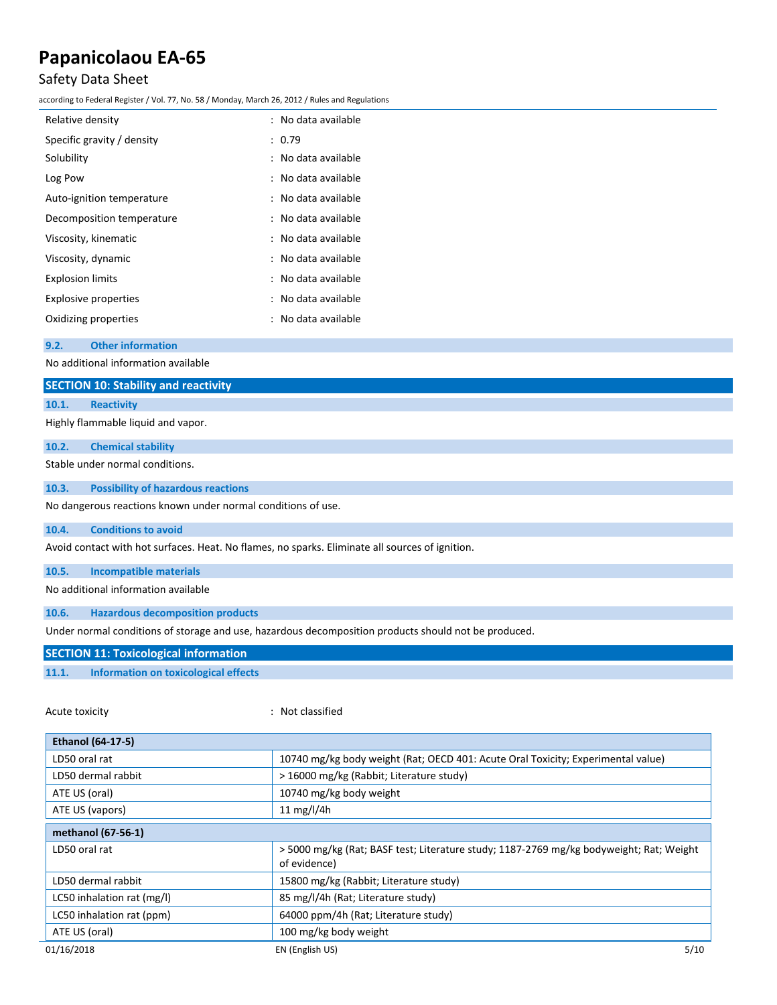## Safety Data Sheet

according to Federal Register / Vol. 77, No. 58 / Monday, March 26, 2012 / Rules and Regulations

| Relative density            | : No data available |
|-----------------------------|---------------------|
| Specific gravity / density  | : 0.79              |
| Solubility                  | : No data available |
| Log Pow                     | : No data available |
| Auto-ignition temperature   | : No data available |
| Decomposition temperature   | : No data available |
| Viscosity, kinematic        | : No data available |
| Viscosity, dynamic          | : No data available |
| <b>Explosion limits</b>     | : No data available |
| <b>Explosive properties</b> | : No data available |
| Oxidizing properties        | : No data available |

**9.2. Other information**

No additional information available

| No additional information available                                                             |  |  |
|-------------------------------------------------------------------------------------------------|--|--|
| <b>SECTION 10: Stability and reactivity</b>                                                     |  |  |
| <b>Reactivity</b><br>10.1.                                                                      |  |  |
| Highly flammable liquid and vapor.                                                              |  |  |
| 10.2.<br><b>Chemical stability</b>                                                              |  |  |
| Stable under normal conditions.                                                                 |  |  |
| <b>Possibility of hazardous reactions</b><br>10.3.                                              |  |  |
| No dangerous reactions known under normal conditions of use.                                    |  |  |
| <b>Conditions to avoid</b><br>10.4.                                                             |  |  |
| Avoid contact with hot surfaces. Heat. No flames, no sparks. Eliminate all sources of ignition. |  |  |
| <b>Incompatible materials</b><br>10.5.                                                          |  |  |
| No additional information available                                                             |  |  |

**10.6. Hazardous decomposition products**

Under normal conditions of storage and use, hazardous decomposition products should not be produced.

## **SECTION 11: Toxicological information**

### **11.1. Information on toxicological effects**

Acute toxicity **in the case of the Case of the Case of the Case of the Case of the Case of the Case of the Case of the Case of the Case of the Case of the Case of the Case of the Case of the Case of the Case of the Case of** 

| <b>Ethanol (64-17-5)</b>   |                                                                                                        |
|----------------------------|--------------------------------------------------------------------------------------------------------|
| LD50 oral rat              | 10740 mg/kg body weight (Rat; OECD 401: Acute Oral Toxicity; Experimental value)                       |
| LD50 dermal rabbit         | > 16000 mg/kg (Rabbit; Literature study)                                                               |
| ATE US (oral)              | 10740 mg/kg body weight                                                                                |
| ATE US (vapors)            | 11 mg/l/4h                                                                                             |
| methanol (67-56-1)         |                                                                                                        |
| LD50 oral rat              | >5000 mg/kg (Rat; BASF test; Literature study; 1187-2769 mg/kg bodyweight; Rat; Weight<br>of evidence) |
| LD50 dermal rabbit         | 15800 mg/kg (Rabbit; Literature study)                                                                 |
| LC50 inhalation rat (mg/l) | 85 mg/l/4h (Rat; Literature study)                                                                     |
| LC50 inhalation rat (ppm)  | 64000 ppm/4h (Rat; Literature study)                                                                   |
| ATE US (oral)              | 100 mg/kg body weight                                                                                  |
| 01/16/2018                 | 5/10<br>EN (English US)                                                                                |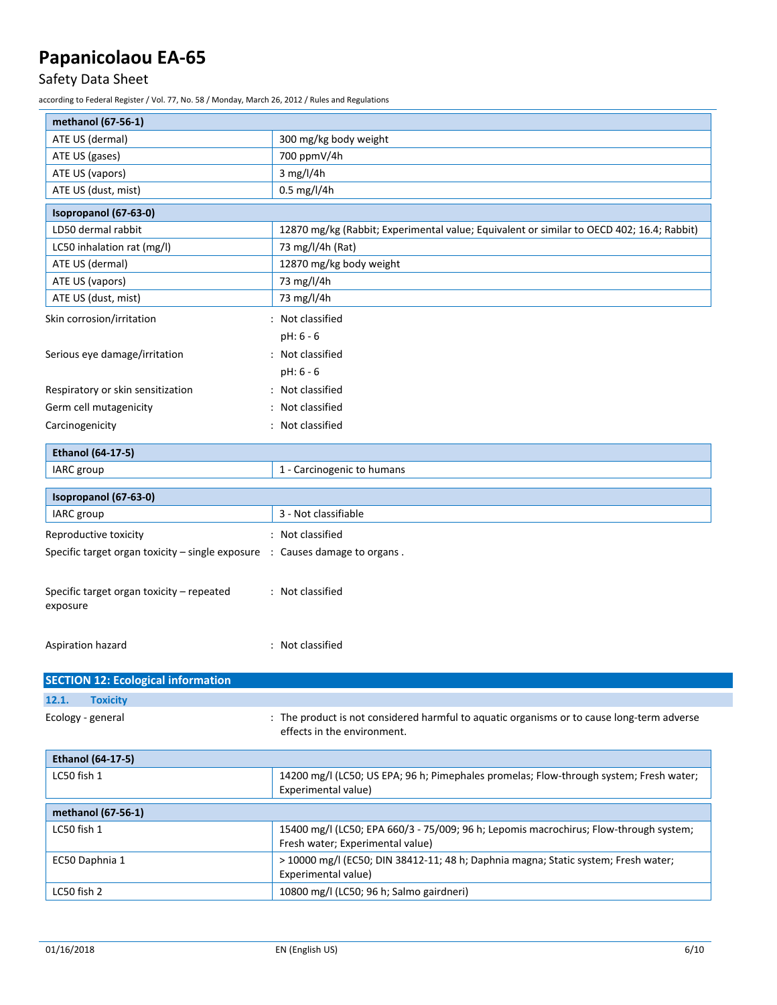# Safety Data Sheet

according to Federal Register / Vol. 77, No. 58 / Monday, March 26, 2012 / Rules and Regulations

| ATE US (dermal)<br>300 mg/kg body weight<br>700 ppmV/4h<br>ATE US (gases)<br>3 mg/l/4h<br>ATE US (vapors)<br>0.5 mg/l/4h<br>ATE US (dust, mist) |
|-------------------------------------------------------------------------------------------------------------------------------------------------|
|                                                                                                                                                 |
|                                                                                                                                                 |
|                                                                                                                                                 |
|                                                                                                                                                 |
| Isopropanol (67-63-0)                                                                                                                           |
| LD50 dermal rabbit<br>12870 mg/kg (Rabbit; Experimental value; Equivalent or similar to OECD 402; 16.4; Rabbit)                                 |
| 73 mg/l/4h (Rat)<br>LC50 inhalation rat (mg/l)                                                                                                  |
| ATE US (dermal)<br>12870 mg/kg body weight                                                                                                      |
| 73 mg/l/4h<br>ATE US (vapors)                                                                                                                   |
| 73 mg/l/4h<br>ATE US (dust, mist)                                                                                                               |
| Skin corrosion/irritation<br>: Not classified                                                                                                   |
| pH: 6 - 6                                                                                                                                       |
| Serious eye damage/irritation<br>: Not classified                                                                                               |
| $pH: 6 - 6$                                                                                                                                     |
| : Not classified<br>Respiratory or skin sensitization                                                                                           |
| Germ cell mutagenicity<br>: Not classified                                                                                                      |
| : Not classified<br>Carcinogenicity                                                                                                             |
|                                                                                                                                                 |
| <b>Ethanol (64-17-5)</b>                                                                                                                        |
| IARC group<br>1 - Carcinogenic to humans                                                                                                        |
| Isopropanol (67-63-0)                                                                                                                           |
| 3 - Not classifiable<br>IARC group                                                                                                              |
| : Not classified<br>Reproductive toxicity                                                                                                       |
| Specific target organ toxicity $-$ single exposure $\therefore$ Causes damage to organs.                                                        |
| Specific target organ toxicity - repeated<br>: Not classified<br>exposure                                                                       |
| : Not classified<br>Aspiration hazard                                                                                                           |
|                                                                                                                                                 |
| <b>SECTION 12: Ecological information</b>                                                                                                       |
| 12.1.<br><b>Toxicity</b>                                                                                                                        |
| Ecology - general<br>: The product is not considered harmful to aquatic organisms or to cause long-term adverse<br>effects in the environment.  |
| <b>Ethanol (64-17-5)</b>                                                                                                                        |
| LC50 fish 1<br>14200 mg/l (LC50; US EPA; 96 h; Pimephales promelas; Flow-through system; Fresh water;<br>Experimental value)                    |
| methanol (67-56-1)                                                                                                                              |
| LC50 fish 1<br>15400 mg/l (LC50; EPA 660/3 - 75/009; 96 h; Lepomis macrochirus; Flow-through system;<br>Fresh water; Experimental value)        |
| > 10000 mg/l (EC50; DIN 38412-11; 48 h; Daphnia magna; Static system; Fresh water;<br>EC50 Daphnia 1<br>Experimental value)                     |
| LC50 fish 2<br>10800 mg/l (LC50; 96 h; Salmo gairdneri)                                                                                         |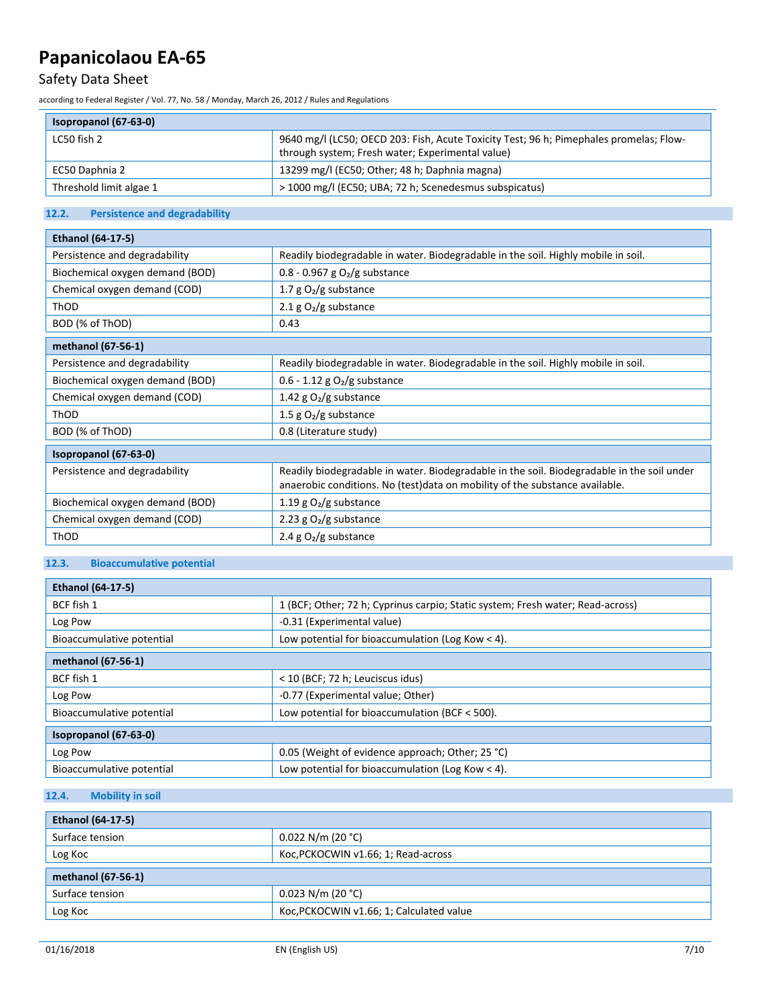# Safety Data Sheet

according to Federal Register / Vol. 77, No. 58 / Monday, March 26, 2012 / Rules and Regulations

### **Isopropanol (67-63-0)**

| <b>1909-1910 1910 1910 1910</b> |                                                                                                                                            |
|---------------------------------|--------------------------------------------------------------------------------------------------------------------------------------------|
| LC50 fish 2                     | 9640 mg/l (LC50; OECD 203: Fish, Acute Toxicity Test; 96 h; Pimephales promelas; Flow-<br>through system; Fresh water; Experimental value) |
| EC50 Daphnia 2                  | 13299 mg/l (EC50; Other; 48 h; Daphnia magna)                                                                                              |
| Threshold limit algae 1         | > 1000 mg/l (EC50; UBA; 72 h; Scenedesmus subspicatus)                                                                                     |

### **12.2. Persistence and degradability**

| <b>Ethanol (64-17-5)</b>        |                                                                                                                                                                            |  |
|---------------------------------|----------------------------------------------------------------------------------------------------------------------------------------------------------------------------|--|
| Persistence and degradability   | Readily biodegradable in water. Biodegradable in the soil. Highly mobile in soil.                                                                                          |  |
| Biochemical oxygen demand (BOD) | 0.8 - 0.967 g $O_2/g$ substance                                                                                                                                            |  |
| Chemical oxygen demand (COD)    | 1.7 $g O2/g$ substance                                                                                                                                                     |  |
| ThOD                            | 2.1 g $O_2/g$ substance                                                                                                                                                    |  |
| BOD (% of ThOD)                 | 0.43                                                                                                                                                                       |  |
| methanol (67-56-1)              |                                                                                                                                                                            |  |
| Persistence and degradability   | Readily biodegradable in water. Biodegradable in the soil. Highly mobile in soil.                                                                                          |  |
| Biochemical oxygen demand (BOD) | $0.6 - 1.12$ g O <sub>2</sub> /g substance                                                                                                                                 |  |
| Chemical oxygen demand (COD)    | 1.42 g $O2/g$ substance                                                                                                                                                    |  |
| ThOD                            | 1.5 $g O2/g$ substance                                                                                                                                                     |  |
| BOD (% of ThOD)                 | 0.8 (Literature study)                                                                                                                                                     |  |
| Isopropanol (67-63-0)           |                                                                                                                                                                            |  |
| Persistence and degradability   | Readily biodegradable in water. Biodegradable in the soil. Biodegradable in the soil under<br>anaerobic conditions. No (test) data on mobility of the substance available. |  |
| Biochemical oxygen demand (BOD) | 1.19 g $O2/g$ substance                                                                                                                                                    |  |
| Chemical oxygen demand (COD)    | 2.23 g $O2/g$ substance                                                                                                                                                    |  |
| ThOD                            | 2.4 g $O_2/g$ substance                                                                                                                                                    |  |

### **12.3. Bioaccumulative potential**

| <b>Ethanol (64-17-5)</b>  |                                                                                |  |
|---------------------------|--------------------------------------------------------------------------------|--|
| BCF fish 1                | 1 (BCF; Other; 72 h; Cyprinus carpio; Static system; Fresh water; Read-across) |  |
| Log Pow                   | -0.31 (Experimental value)                                                     |  |
| Bioaccumulative potential | Low potential for bioaccumulation (Log Kow < 4).                               |  |
| methanol (67-56-1)        |                                                                                |  |
| BCF fish 1                | < 10 (BCF; 72 h; Leuciscus idus)                                               |  |
| Log Pow                   | -0.77 (Experimental value; Other)                                              |  |
| Bioaccumulative potential | Low potential for bioaccumulation (BCF $<$ 500).                               |  |
| Isopropanol (67-63-0)     |                                                                                |  |
| Log Pow                   | 0.05 (Weight of evidence approach; Other; 25 °C)                               |  |
| Bioaccumulative potential | Low potential for bioaccumulation (Log Kow $<$ 4).                             |  |

## **12.4. Mobility in soil**

| <b>Ethanol (64-17-5)</b> |                                          |  |
|--------------------------|------------------------------------------|--|
| Surface tension          | $0.022$ N/m (20 °C)                      |  |
| Log Koc                  | Koc, PCKOCWIN v1.66; 1; Read-across      |  |
| methanol (67-56-1)       |                                          |  |
| Surface tension          | $0.023$ N/m (20 °C)                      |  |
| Log Koc                  | Koc, PCKOCWIN v1.66; 1; Calculated value |  |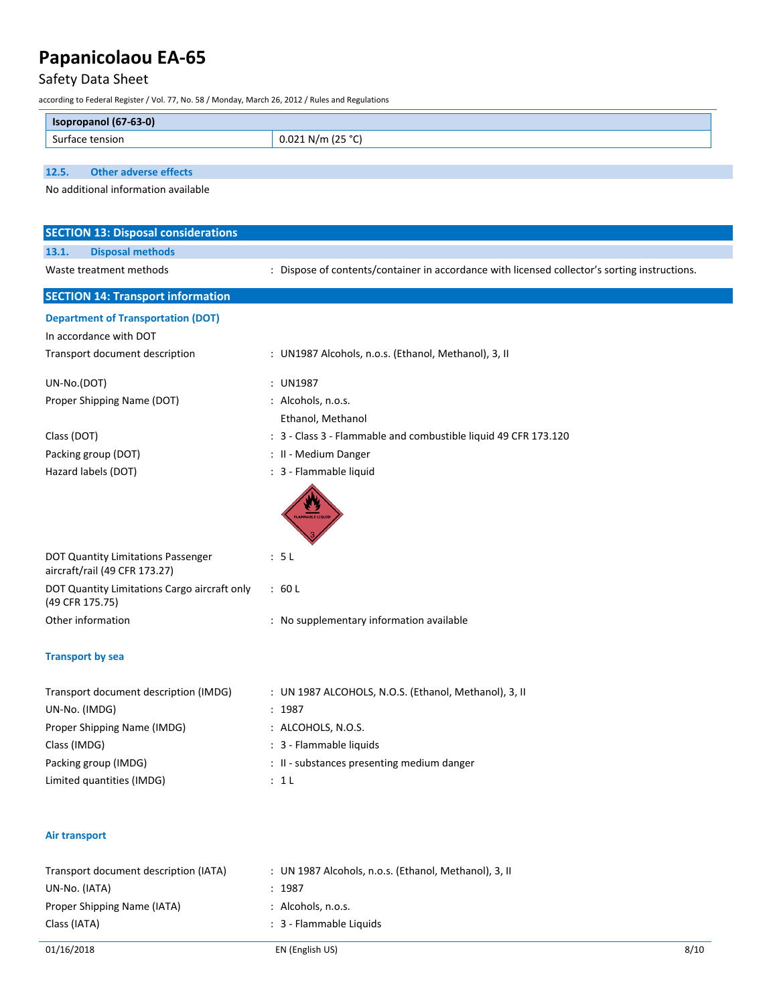# Safety Data Sheet

according to Federal Register / Vol. 77, No. 58 / Monday, March 26, 2012 / Rules and Regulations

| $(67-63-0)$<br><b>Iso</b> |                                            |
|---------------------------|--------------------------------------------|
| ısıon<br>−∍ur*            | $12E$ $9C$<br>$\sim$ N/m $\sim$<br>J.<br>, |

**12.5. Other adverse effects**

No additional information available

| <b>SECTION 13: Disposal considerations</b>                                                                               |  |
|--------------------------------------------------------------------------------------------------------------------------|--|
| <b>Disposal methods</b><br>13.1.                                                                                         |  |
| : Dispose of contents/container in accordance with licensed collector's sorting instructions.<br>Waste treatment methods |  |
| <b>SECTION 14: Transport information</b>                                                                                 |  |
| <b>Department of Transportation (DOT)</b><br>In accordance with DOT                                                      |  |
| Transport document description<br>: UN1987 Alcohols, n.o.s. (Ethanol, Methanol), 3, II                                   |  |
| UN-No.(DOT)<br>: UN1987                                                                                                  |  |
| : Alcohols, n.o.s.<br>Proper Shipping Name (DOT)                                                                         |  |
| Ethanol, Methanol                                                                                                        |  |
| Class (DOT)<br>: 3 - Class 3 - Flammable and combustible liquid 49 CFR 173.120                                           |  |
| Packing group (DOT)<br>: II - Medium Danger                                                                              |  |
| : 3 - Flammable liquid<br>Hazard labels (DOT)                                                                            |  |
| <b>AMMABLE LIQU</b>                                                                                                      |  |
| DOT Quantity Limitations Passenger<br>: 5L<br>aircraft/rail (49 CFR 173.27)                                              |  |
| DOT Quantity Limitations Cargo aircraft only<br>:60L<br>(49 CFR 175.75)                                                  |  |
| Other information<br>: No supplementary information available                                                            |  |
| <b>Transport by sea</b>                                                                                                  |  |
| Transport document description (IMDG)<br>: UN 1987 ALCOHOLS, N.O.S. (Ethanol, Methanol), 3, II                           |  |
| UN-No. (IMDG)<br>: 1987                                                                                                  |  |
| Proper Shipping Name (IMDG)<br>: ALCOHOLS, N.O.S.                                                                        |  |
| Class (IMDG)<br>: 3 - Flammable liquids                                                                                  |  |
| Packing group (IMDG)<br>: II - substances presenting medium danger                                                       |  |
| Limited quantities (IMDG)<br>: 1L                                                                                        |  |
| <b>Air transport</b>                                                                                                     |  |
| Transport document description (IATA)<br>: UN 1987 Alcohols, n.o.s. (Ethanol, Methanol), 3, II                           |  |
| UN-No. (IATA)<br>: 1987                                                                                                  |  |
| Proper Shipping Name (IATA)<br>: Alcohols, n.o.s.                                                                        |  |
| : 3 - Flammable Liquids<br>Class (IATA)                                                                                  |  |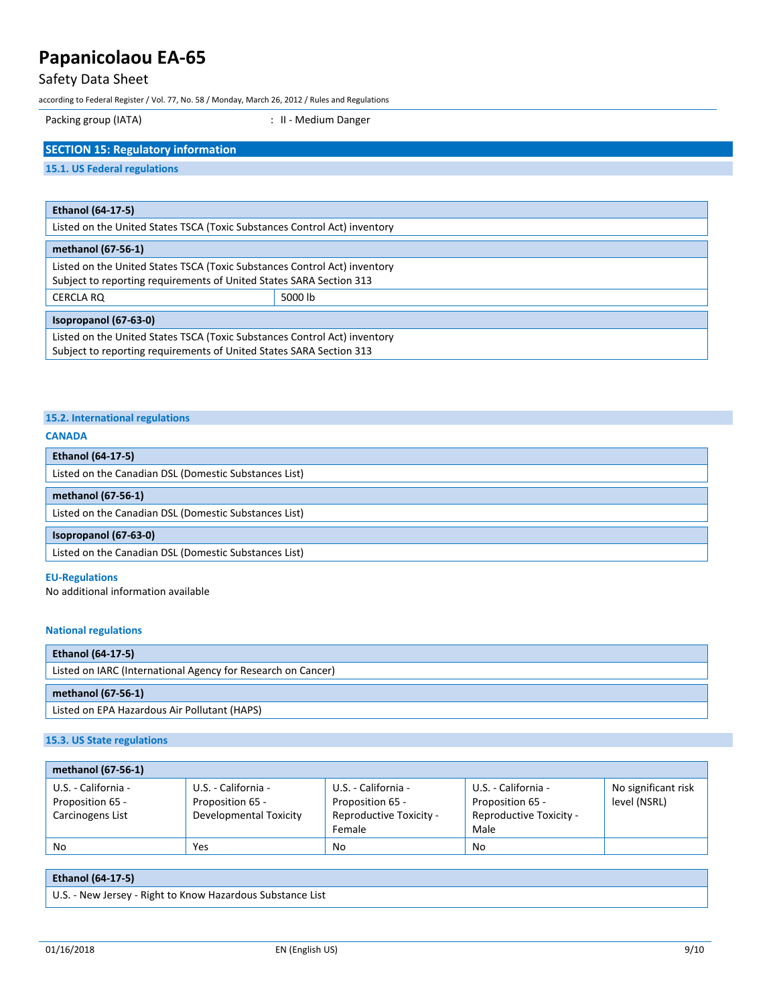## Safety Data Sheet

according to Federal Register / Vol. 77, No. 58 / Monday, March 26, 2012 / Rules and Regulations

Packing group (IATA)  $\qquad \qquad$  : II - Medium Danger

## **SECTION 15: Regulatory information**

#### **15.1. US Federal regulations**

| <b>Ethanol (64-17-5)</b>                                                                                                                         |         |
|--------------------------------------------------------------------------------------------------------------------------------------------------|---------|
| Listed on the United States TSCA (Toxic Substances Control Act) inventory                                                                        |         |
| methanol (67-56-1)                                                                                                                               |         |
| Listed on the United States TSCA (Toxic Substances Control Act) inventory<br>Subject to reporting requirements of United States SARA Section 313 |         |
| CERCLA RQ                                                                                                                                        | 5000 lb |
| Isopropanol (67-63-0)                                                                                                                            |         |
| Listed on the United States TSCA (Toxic Substances Control Act) inventory<br>Subject to reporting requirements of United States SARA Section 313 |         |

### **15.2. International regulations**

#### **CANADA**

| <b>Ethanol (64-17-5)</b>                              |  |  |
|-------------------------------------------------------|--|--|
| Listed on the Canadian DSL (Domestic Substances List) |  |  |
| methanol (67-56-1)                                    |  |  |
| Listed on the Canadian DSL (Domestic Substances List) |  |  |
|                                                       |  |  |
| Isopropanol (67-63-0)                                 |  |  |
| Listed on the Canadian DSL (Domestic Substances List) |  |  |

#### **EU-Regulations**

No additional information available

#### **National regulations**

| <b>Ethanol (64-17-5)</b>                                     |  |
|--------------------------------------------------------------|--|
| Listed on IARC (International Agency for Research on Cancer) |  |
|                                                              |  |
| methanol (67-56-1)                                           |  |

#### **15.3. US State regulations**

| methanol (67-56-1)  |                        |                         |                         |                     |
|---------------------|------------------------|-------------------------|-------------------------|---------------------|
| U.S. - California - | U.S. - California -    | U.S. - California -     | U.S. - California -     | No significant risk |
| Proposition 65 -    | Proposition 65 -       | Proposition 65 -        | Proposition 65 -        | level (NSRL)        |
| Carcinogens List    | Developmental Toxicity | Reproductive Toxicity - | Reproductive Toxicity - |                     |
|                     |                        | Female                  | Male                    |                     |
| No                  | Yes                    | No                      | No                      |                     |

### **Ethanol (64-17-5)**

U.S. - New Jersey - Right to Know Hazardous Substance List